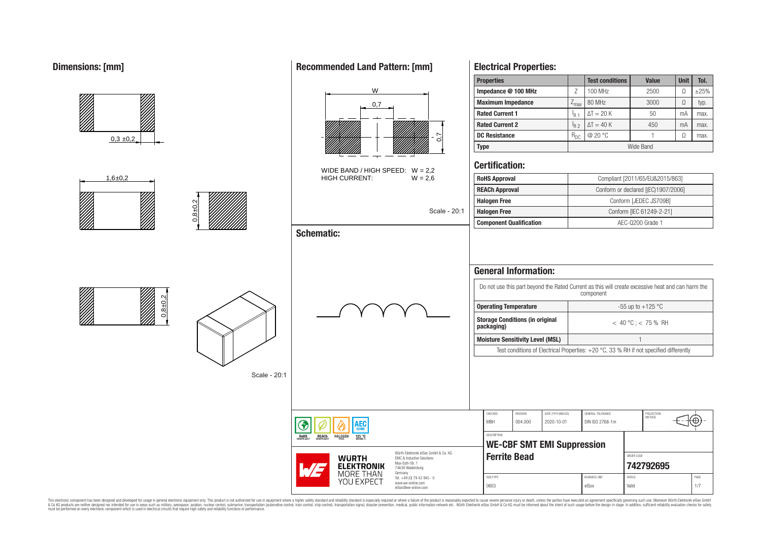## **Dimensions: [mm]**



This electronic component has been designed and developed for usage in general electronic equipment only. This product is not authorized for use in equipment where a higher safely standard and reliability standard si espec & Ook product a label and the membed of the seasuch as marked and as which such a membed and the such assume that income in the seasuch and the simulation and the such assume that include to the such a membed and the such

# **Recommended Land Pattern: [mm]**

**Electrical Properties:**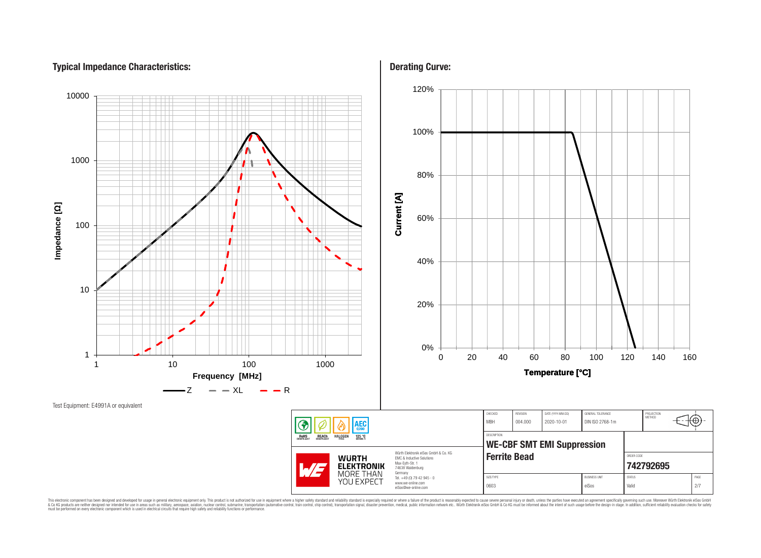# **Typical Impedance Characteristics:**



This electronic component has been designed and developed for usage in general electronic equipment only. This product is not authorized for subserved requipment where a higher selection equipment where a higher selection

**Derating Curve:**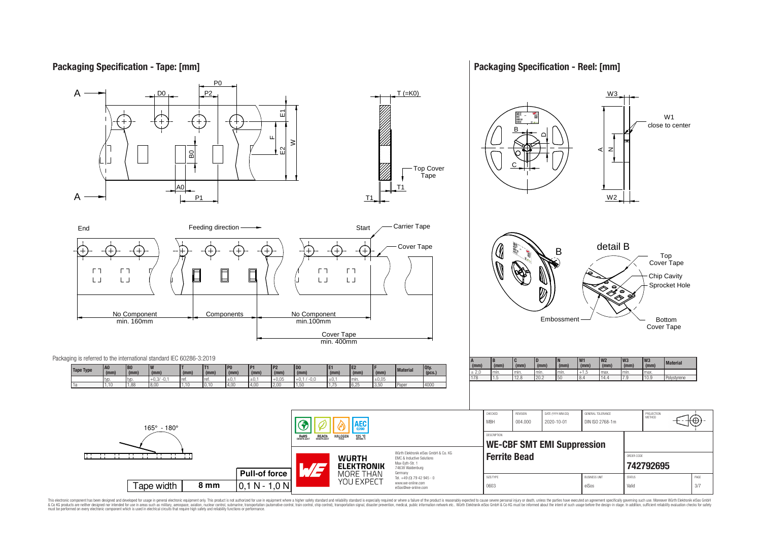# **Packaging Specification - Tape: [mm]**

### **Packaging Specification - Reel: [mm]**



This electronic component has been designed and developed for usage in general electronic equipment only. This product is not authorized for use in equipment where a higher safely standard and reliability standard si espec & Ook product a label and the membed of the seasuch as marked and as which such a membed and the such assume that income in the seasuch and the simulation and the such assume that include to the such a membed and the such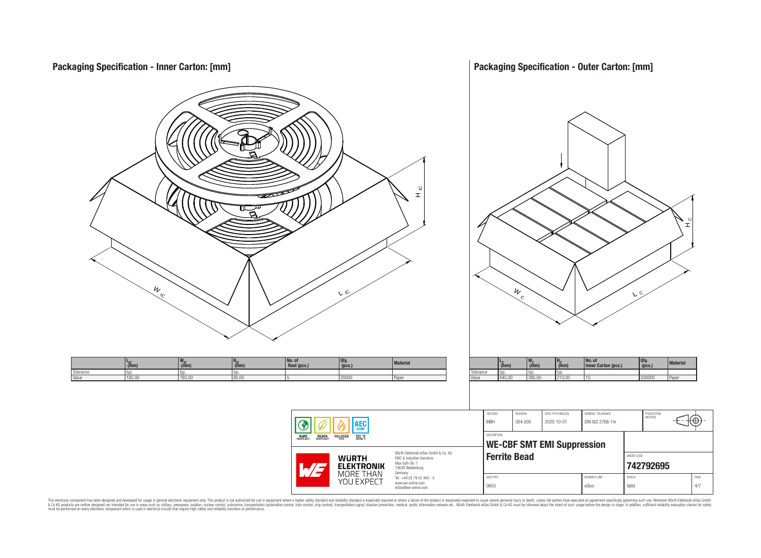**Packaging Specification - Outer Carton: [mm] Packaging Specification - Inner Carton: [mm]**  $\frac{9}{1}$ 뇌  $\frac{w}{c}$  $W_{\rm c}$  $\sqrt{C}$  C L $\mathcal{L}$ **No. of L<sub>IC</sub>**<br>typ. **No. of Reel (pcs.) Qty. (pcs.) Material LC (mm) WC HC (mm) Qty. (pcs.) Material <sup>W</sup>IC (mm) <sup>H</sup>IC (mm) Inner Carton (pcs.) (mm)** Tolerance typ. typ. typ.<br>Value 445.00 395.00 210 Tolerance typ. typ. typ. typ. typ. Value 185,00 185,00 185,00 80,00 5 20000 20000 Paper Value 445,00 395,00 210,00 10 200000 Paper CHECKED REVISION DATE (YYYY-MM-DD) GENERAL TOLERANCE PROJECTION<br>METHOD 76 MBH 004.000 2020-10-01 DIN ISO 2768-1m AEC G DESCRIPTION **RoHS REACH HALOGEN** 125 °C **WE-CBF SMT EMI Suppression** Würth Elektronik eiSos GmbH & Co. KG **Ferrite Bead CONDER CONDER CODE WURTH** EMC & Inductive Solutions Max-Eyth-Str. 1 **[742792695](https://www.we-online.com/catalog/en/article/742792695) ELEKTRONIK** 74638 Waldenburg **MORE THAN** Germany Tel. +49 (0) 79 42 945 - 0 SIZE/TYPE BUSINESS UNIT STATUS PAGE YOU EXPECT www.we-online.com 0603 eiSos Valid 4/7 eiSos@we-online.com

This electronic component has been designed and developed for usage in general electronic equipment only. This product is not authorized for subserved requipment where a higher selection equipment where a higher selection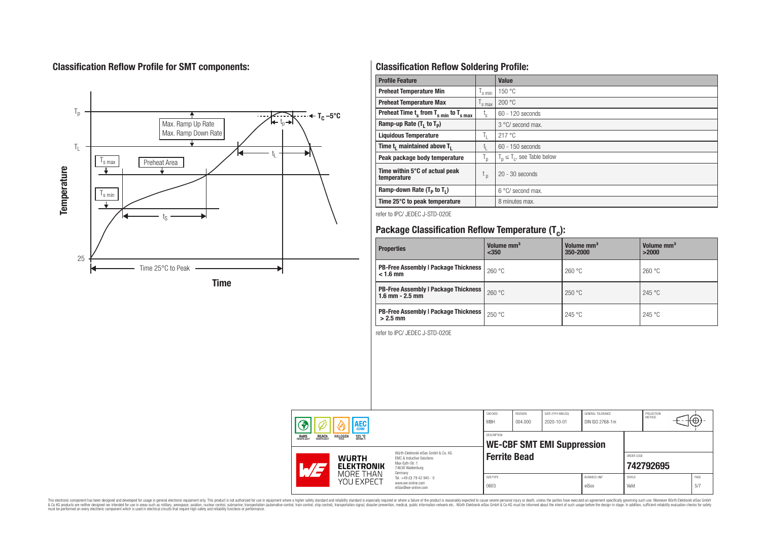# **Classification Reflow Profile for SMT components:**



# **Classification Reflow Soldering Profile:**

| <b>Profile Feature</b>                              |                           | <b>Value</b>                     |
|-----------------------------------------------------|---------------------------|----------------------------------|
| <b>Preheat Temperature Min</b>                      | 's min                    | 150 °C                           |
| <b>Preheat Temperature Max</b>                      | <sup>I</sup> s max        | 200 °C                           |
| Preheat Time $t_s$ from $T_{s min}$ to $T_{s max}$  | $t_{\rm s}$               | $60 - 120$ seconds               |
| Ramp-up Rate $(T_1$ to $T_p$ )                      |                           | 3 °C/ second max.                |
| <b>Liquidous Temperature</b>                        | ъ.                        | 217 °C                           |
| Time t <sub>i</sub> maintained above T <sub>1</sub> | t,                        | $60 - 150$ seconds               |
| Peak package body temperature                       | $\mathsf{I}_{\mathsf{D}}$ | $T_p \leq T_c$ , see Table below |
| Time within 5°C of actual peak<br>temperature       | t <sub>p</sub>            | $20 - 30$ seconds                |
| Ramp-down Rate $(T_p$ to $T_1$ )                    |                           | $6^{\circ}$ C/ second max.       |
| Time 25°C to peak temperature                       |                           | 8 minutes max.                   |

refer to IPC/ JEDEC J-STD-020E

# **Package Classification Reflow Temperature (T<sup>c</sup> ):**

| <b>Properties</b>                                                    | Volume mm <sup>3</sup><br>< 350 | Volume mm <sup>3</sup><br>350-2000 | Volume mm <sup>3</sup><br>>2000 |
|----------------------------------------------------------------------|---------------------------------|------------------------------------|---------------------------------|
| <b>PB-Free Assembly   Package Thickness  </b><br>$< 1.6$ mm          | 260 °C                          | 260 °C                             | 260 °C                          |
| <b>PB-Free Assembly   Package Thickness  </b><br>$1.6$ mm $- 2.5$ mm | 260 °C                          | 250 °C                             | 245 °C                          |
| <b>PB-Free Assembly   Package Thickness  </b><br>$>2.5$ mm           | 250 °C                          | 245 °C                             | 245 °C                          |

refer to IPC/ JEDEC J-STD-020E

| AEC<br><b>REACH</b><br>COMPLIANT<br><b>ROHS</b><br>COMPLIANT<br><b>HALOGEN</b><br>125 °C<br>Würth Flektronik eiSos GmbH & Co. KG<br><b>WURTH</b><br>EMC & Inductive Solutions<br>Max-Eyth-Str. 1<br><b>ELEKTRONIK</b><br>.7<br>74638 Waldenburg |                   | CHECKED<br><b>MBH</b>                                                             | <b>REVISION</b><br>004.000 | DATE (YYYY-MM-DD)<br>2020-10-01 | GENERAL TOLERANCE<br>DIN ISO 2768-1m |                        | PROJECTION<br><b>METHOD</b> |           | ₩           |
|-------------------------------------------------------------------------------------------------------------------------------------------------------------------------------------------------------------------------------------------------|-------------------|-----------------------------------------------------------------------------------|----------------------------|---------------------------------|--------------------------------------|------------------------|-----------------------------|-----------|-------------|
|                                                                                                                                                                                                                                                 |                   | DESCRIPTION<br><b>WE-CBF SMT EMI Suppression</b>                                  |                            |                                 |                                      |                        |                             |           |             |
|                                                                                                                                                                                                                                                 |                   | Germany<br>Tel. +49 (0) 79 42 945 - 0<br>www.we-online.com<br>eiSos@we-online.com | <b>Ferrite Bead</b>        |                                 |                                      |                        | ORDER CODE                  | 742792695 |             |
| MORE THAN<br>YOU EXPECT                                                                                                                                                                                                                         | SIZE/TYPE<br>0603 |                                                                                   |                            |                                 | <b>BUSINESS UNIT</b><br>eiSos        | <b>STATUS</b><br>Valid |                             |           | PAGE<br>5/7 |

This electronic component has been designed and developed for usage in general electronic equipment only. This product is not authorized for subserved requipment where a higher selection equipment where a higher selection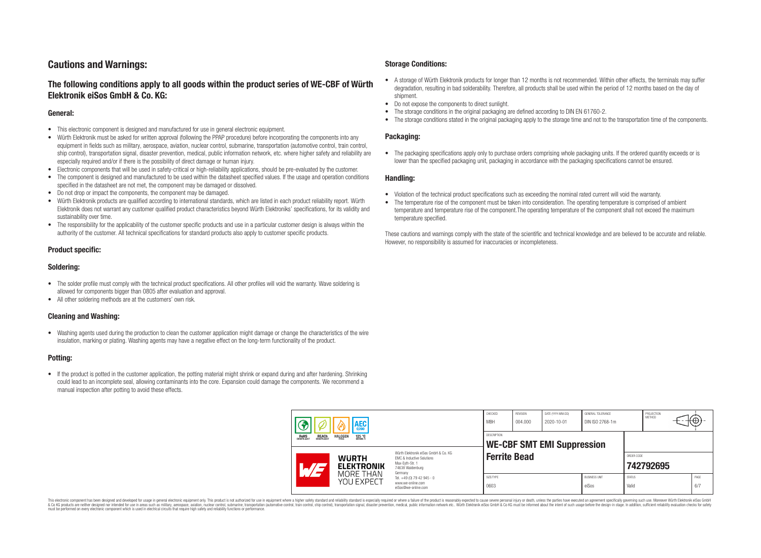# **Cautions and Warnings:**

## **The following conditions apply to all goods within the product series of WE-CBF of Würth Elektronik eiSos GmbH & Co. KG:**

#### **General:**

- This electronic component is designed and manufactured for use in general electronic equipment.
- Würth Elektronik must be asked for written approval (following the PPAP procedure) before incorporating the components into any equipment in fields such as military, aerospace, aviation, nuclear control, submarine, transportation (automotive control, train control, ship control), transportation signal, disaster prevention, medical, public information network, etc. where higher safety and reliability are especially required and/or if there is the possibility of direct damage or human injury.
- Electronic components that will be used in safety-critical or high-reliability applications, should be pre-evaluated by the customer.
- The component is designed and manufactured to be used within the datasheet specified values. If the usage and operation conditions specified in the datasheet are not met, the component may be damaged or dissolved.
- Do not drop or impact the components, the component may be damaged.
- Würth Elektronik products are qualified according to international standards, which are listed in each product reliability report. Würth Elektronik does not warrant any customer qualified product characteristics beyond Würth Elektroniks' specifications, for its validity and sustainability over time.
- The responsibility for the applicability of the customer specific products and use in a particular customer design is always within the authority of the customer. All technical specifications for standard products also apply to customer specific products.

#### **Product specific:**

#### **Soldering:**

- The solder profile must comply with the technical product specifications. All other profiles will void the warranty. Wave soldering is allowed for components bigger than 0805 after evaluation and approval.
- All other soldering methods are at the customers' own risk.

#### **Cleaning and Washing:**

• Washing agents used during the production to clean the customer application might damage or change the characteristics of the wire insulation, marking or plating. Washing agents may have a negative effect on the long-term functionality of the product.

#### **Potting:**

• If the product is potted in the customer application, the potting material might shrink or expand during and after hardening. Shrinking could lead to an incomplete seal, allowing contaminants into the core. Expansion could damage the components. We recommend a manual inspection after potting to avoid these effects.

#### **Storage Conditions:**

- A storage of Würth Elektronik products for longer than 12 months is not recommended. Within other effects, the terminals may suffer degradation, resulting in bad solderability. Therefore, all products shall be used within the period of 12 months based on the day of shipment.
- Do not expose the components to direct sunlight.<br>• The storage conditions in the original packaging
- The storage conditions in the original packaging are defined according to DIN EN 61760-2.
- The storage conditions stated in the original packaging apply to the storage time and not to the transportation time of the components.

#### **Packaging:**

• The packaging specifications apply only to purchase orders comprising whole packaging units. If the ordered quantity exceeds or is lower than the specified packaging unit, packaging in accordance with the packaging specifications cannot be ensured.

#### **Handling:**

- Violation of the technical product specifications such as exceeding the nominal rated current will void the warranty.
- The temperature rise of the component must be taken into consideration. The operating temperature is comprised of ambient temperature and temperature rise of the component.The operating temperature of the component shall not exceed the maximum temperature specified.

These cautions and warnings comply with the state of the scientific and technical knowledge and are believed to be accurate and reliable. However, no responsibility is assumed for inaccuracies or incompleteness.

| AEC<br><b>REACH</b><br>COMPLIANT<br><b>ROHS</b><br>COMPLIANT<br><b>HALOGEN</b><br>125 °C<br>Grade 1<br>FRFF |                                                                                                                                | CHECKED<br><b>MBH</b>                                   | REVISION<br>004.000 | DATE (YYYY-MM-DD)<br>2020-10-01 | GENERAL TOLERANCE<br>DIN ISO 2768-1m |                        | PROJECTION<br>METHOD | ₩           |
|-------------------------------------------------------------------------------------------------------------|--------------------------------------------------------------------------------------------------------------------------------|---------------------------------------------------------|---------------------|---------------------------------|--------------------------------------|------------------------|----------------------|-------------|
|                                                                                                             |                                                                                                                                | <b>DESCRIPTION</b><br><b>WE-CBF SMT EMI Suppression</b> |                     |                                 |                                      |                        |                      |             |
| <b>WURTH</b><br><b>ELEKTRONIK</b>                                                                           | Würth Elektronik eiSos GmbH & Co. KG<br><b>EMC &amp; Inductive Solutions</b><br>Max-Eyth-Str. 1<br>74638 Waldenburg<br>Germany | <b>Ferrite Bead</b>                                     |                     |                                 |                                      | ORDER CODE             | 742792695            |             |
| MORE THAN<br>YOU EXPECT                                                                                     | Tel. +49 (0) 79 42 945 - 0<br>www.we-online.com<br>eiSos@we-online.com                                                         | SIZE/TYPE<br>0603                                       |                     |                                 | <b>BUSINESS UNIT</b><br>eiSos        | <b>STATUS</b><br>Valid |                      | PAGE<br>6/7 |

This electronic component has been designed and developed for usage in general electronic equipment only. This product is not authorized for use in equipment where a higher safety standard and reliability standard si espec & Ook product a label and the membed of the seasuch as marked and as which such a membed and the such assume that income in the seasuch and the simulation and the such assume that include to the such a membed and the such